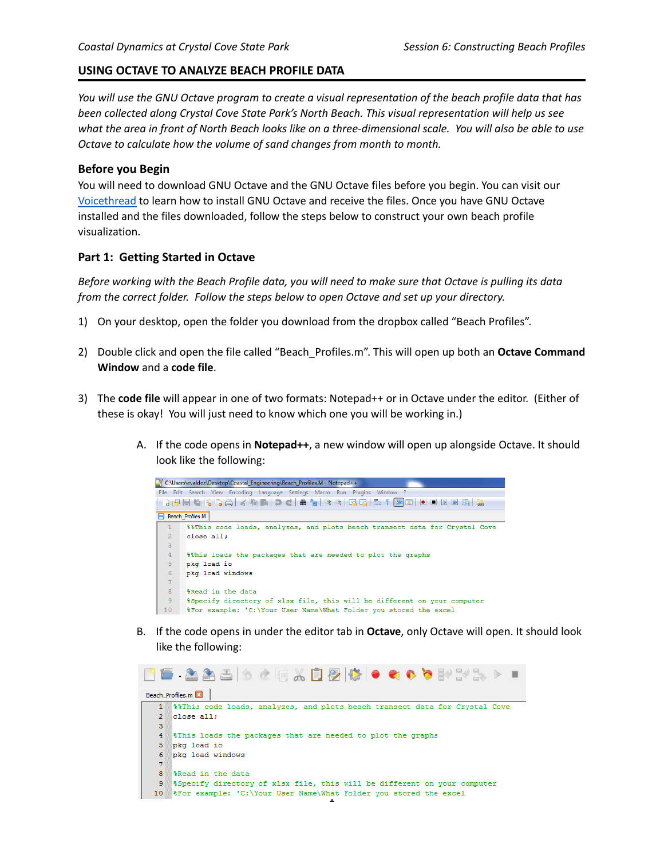### **USING OCTAVE TO ANALYZE BEACH PROFILE DATA**

You will use the GNU Octave program to create a visual representation of the beach profile data that has *been collected along Crystal Cove State Park's North Beach. This visual representation will help us see* what the area in front of North Beach looks like on a three-dimensional scale. You will also be able to use *Octave to calculate how the volume of sand changes from month to month.*

#### **Before you Begin**

You will need to download GNU Octave and the GNU Octave files before you begin. You can visit our [Voicethread](https://voicethread.com/myvoice/thread/17553235/110996275) to learn how to install GNU Octave and receive the files. Once you have GNU Octave installed and the files downloaded, follow the steps below to construct your own beach profile visualization.

#### **Part 1: Getting Started in Octave**

Before working with the Beach Profile data, you will need to make sure that Octave is pulling its data *from the correct folder. Follow the steps below to open Octave and set up your directory.*

- 1) On your desktop, open the folder you download from the dropbox called "Beach Profiles".
- 2) Double click and open the file called "Beach\_Profiles.m". This will open up both an **Octave Command Window** and a **code file**.
- 3) The **code file** will appear in one of two formats: Notepad++ or in Octave under the editor. (Either of these is okay! You will just need to know which one you will be working in.)
	- A. If the code opens in **Notepad++**, a new window will open up alongside Octave. It should look like the following:



B. If the code opens in under the editor tab in **Octave**, only Octave will open. It should look like the following:

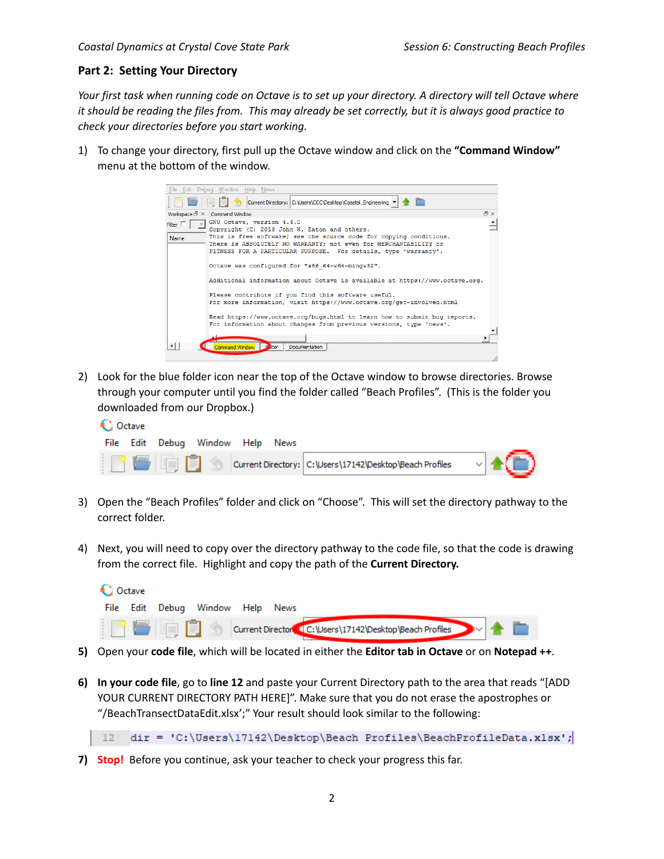# **Part 2: Setting Your Directory**

Your first task when running code on Octave is to set up your directory. A directory will tell Octave where it should be reading the files from. This may already be set correctly, but it is always good practice to *check your directories before you start working.*

1) To change your directory, first pull up the Octave window and click on the **"Command Window"** menu at the bottom of the window.



2) Look for the blue folder icon near the top of the Octave window to browse directories. Browse through your computer until you find the folder called "Beach Profiles". (This is the folder you downloaded from our Dropbox.)

| <b>Q</b> Octave |  |        |                                  |  |  |                                                          |  |  |  |  |
|-----------------|--|--------|----------------------------------|--|--|----------------------------------------------------------|--|--|--|--|
|                 |  |        | File Edit Debua Window Help News |  |  |                                                          |  |  |  |  |
|                 |  | ISERDS |                                  |  |  | Current Directory: C:\Users\17142\Desktop\Beach Profiles |  |  |  |  |

- 3) Open the "Beach Profiles" folder and click on "Choose". This will set the directory pathway to the correct folder.
- 4) Next, you will need to copy over the directory pathway to the code file, so that the code is drawing from the correct file. Highlight and copy the path of the **Current Directory.**

| <b>Q</b> Octave |  |  |                                  |  |  |                                                        |  |  |  |
|-----------------|--|--|----------------------------------|--|--|--------------------------------------------------------|--|--|--|
|                 |  |  | File Edit Debug Window Help News |  |  |                                                        |  |  |  |
|                 |  |  |                                  |  |  | Current Director C: Wsers\17142\Desktop\Beach Profiles |  |  |  |

- **5)** Open your **code file**, which will be located in either the **Editor tab in Octave** or on **Notepad ++**.
- **6) In your code file**, go to **line 12** and paste your Current Directory path to the area that reads "[ADD YOUR CURRENT DIRECTORY PATH HERE]". Make sure that you do not erase the apostrophes or "/BeachTransectDataEdit.xlsx';" Your result should look similar to the following:

dir = 'C:\Users\17142\Desktop\Beach Profiles\BeachProfileData.xlsx';  $12$ 

**7) Stop!** Before you continue, ask your teacher to check your progress this far.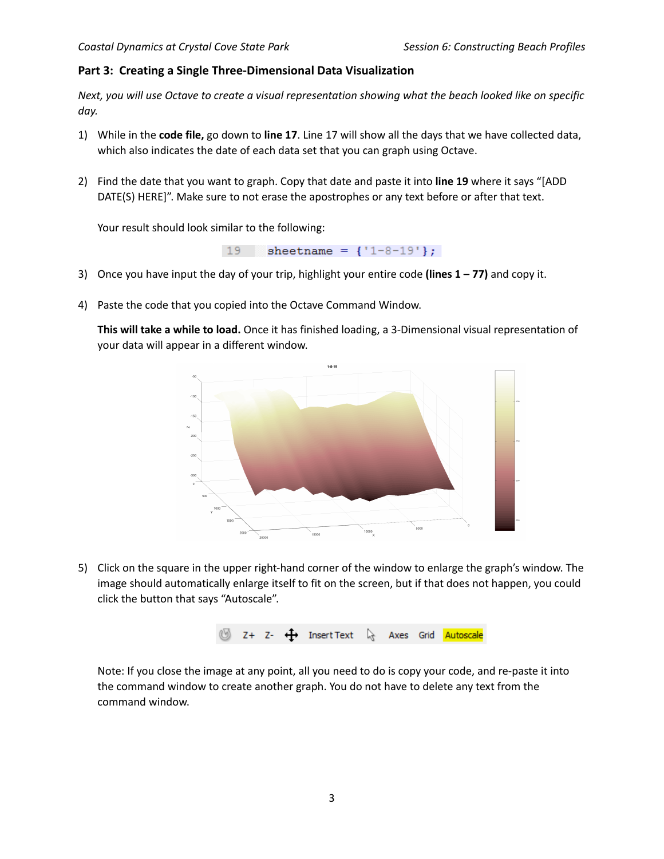# **Part 3: Creating a Single Three-Dimensional Data Visualization**

Next, you will use Octave to create a visual representation showing what the beach looked like on specific *day.*

- 1) While in the **code file,** go down to **line 17**. Line 17 will show all the days that we have collected data, which also indicates the date of each data set that you can graph using Octave.
- 2) Find the date that you want to graph. Copy that date and paste it into **line 19** where it says "[ADD DATE(S) HERE]". Make sure to not erase the apostrophes or any text before or after that text.

Your result should look similar to the following:

19 sheetname =  ${1-8-19'}$ ;

- 3) Once you have input the day of your trip, highlight your entire code **(lines 1 – 77)** and copy it.
- 4) Paste the code that you copied into the Octave Command Window.

**This will take a while to load.** Once it has finished loading, a 3-Dimensional visual representation of your data will appear in a different window.



5) Click on the square in the upper right-hand corner of the window to enlarge the graph's window. The image should automatically enlarge itself to fit on the screen, but if that does not happen, you could click the button that says "Autoscale".



Note: If you close the image at any point, all you need to do is copy your code, and re-paste it into the command window to create another graph. You do not have to delete any text from the command window.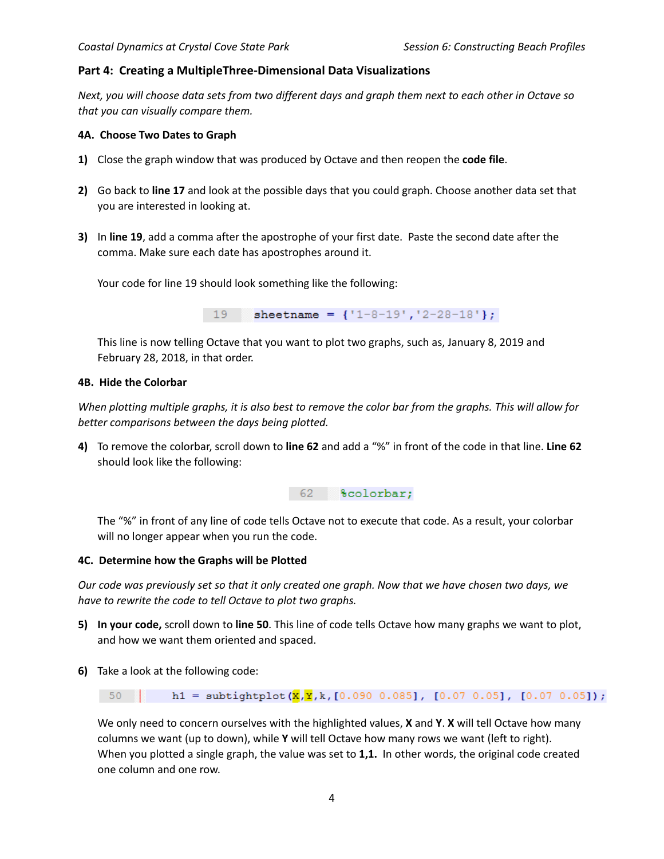# **Part 4: Creating a MultipleThree-Dimensional Data Visualizations**

Next, you will choose data sets from two different days and graph them next to each other in Octave so *that you can visually compare them.*

#### **4A. Choose Two Dates to Graph**

- **1)** Close the graph window that was produced by Octave and then reopen the **code file**.
- **2)** Go back to **line 17** and look at the possible days that you could graph. Choose another data set that you are interested in looking at.
- **3)** In **line 19**, add a comma after the apostrophe of your first date. Paste the second date after the comma. Make sure each date has apostrophes around it.

Your code for line 19 should look something like the following:

19 sheetname =  $\{1-8-19, 12-28-18\}$ ;

This line is now telling Octave that you want to plot two graphs, such as, January 8, 2019 and February 28, 2018, in that order.

#### **4B. Hide the Colorbar**

When plotting multiple graphs, it is also best to remove the color bar from the graphs. This will allow for *better comparisons between the days being plotted.*

**4)** To remove the colorbar, scroll down to **line 62** and add a "%" in front of the code in that line. **Line 62** should look like the following:

62 % \*colorbar;

The "%" in front of any line of code tells Octave not to execute that code. As a result, your colorbar will no longer appear when you run the code.

#### **4C. Determine how the Graphs will be Plotted**

Our code was previously set so that it only created one graph. Now that we have chosen two days, we *have to rewrite the code to tell Octave to plot two graphs.*

- **5) In your code,** scroll down to **line 50**. This line of code tells Octave how many graphs we want to plot, and how we want them oriented and spaced.
- **6)** Take a look at the following code:

h1 = subtightplot( $\overline{X}, \overline{Y}, k$ , [0.090 0.085], [0.07 0.05], [0.07 0.05]);  $-50$ 

We only need to concern ourselves with the highlighted values, **X** and **Y**. **X** will tell Octave how many columns we want (up to down), while **Y** will tell Octave how many rows we want (left to right). When you plotted a single graph, the value was set to **1,1.** In other words, the original code created one column and one row.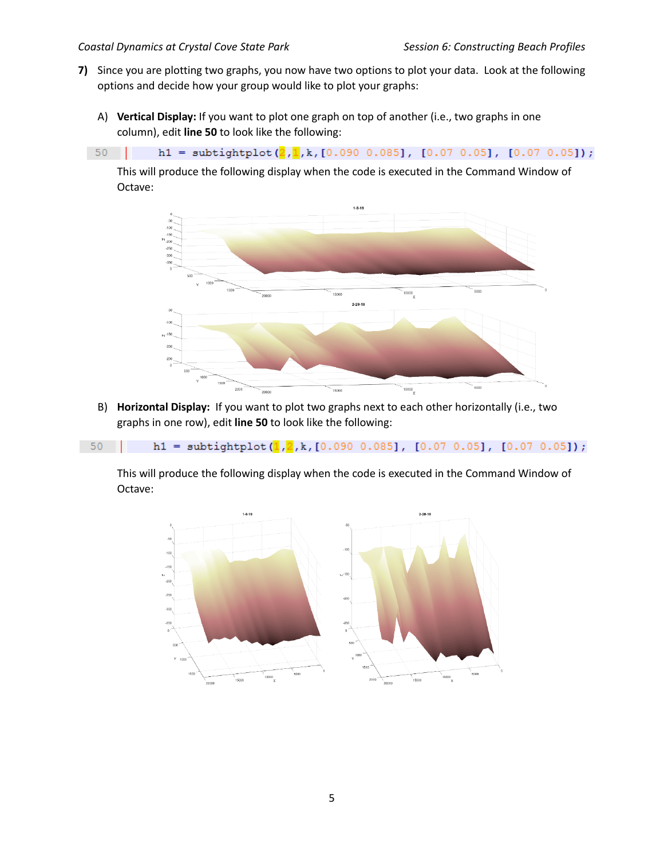- **7)** Since you are plotting two graphs, you now have two options to plot your data. Look at the following options and decide how your group would like to plot your graphs:
	- A) **Vertical Display:** If you want to plot one graph on top of another (i.e., two graphs in one column), edit **line 50** to look like the following:
	- $50$  |

h1 = subtightplot( $\frac{2}{1}$ , k, [0.090 0.085], [0.07 0.05], [0.07 0.05]);

This will produce the following display when the code is executed in the Command Window of Octave:



B) **Horizontal Display:** If you want to plot two graphs next to each other horizontally (i.e., two graphs in one row), edit **line 50** to look like the following:

```
h1 = subtightplot(\frac{1}{2}, k, [0.090 0.085], [0.07 0.05], [0.07 0.05]);
-50
```
This will produce the following display when the code is executed in the Command Window of Octave:

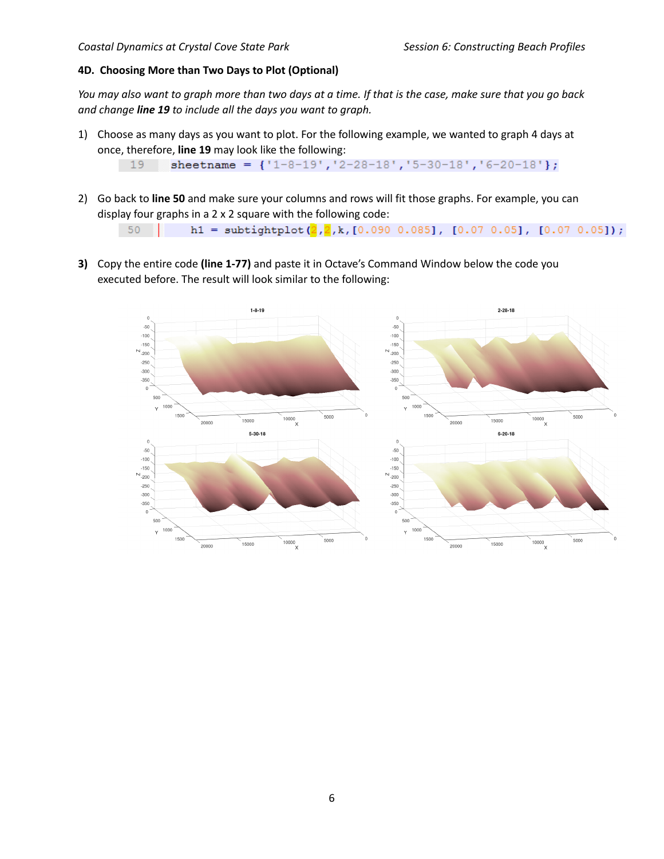### **4D. Choosing More than Two Days to Plot (Optional)**

You may also want to graph more than two days at a time. If that is the case, make sure that you go back *and change line 19 to include all the days you want to graph.*

1) Choose as many days as you want to plot. For the following example, we wanted to graph 4 days at once, therefore, **line 19** may look like the following:

```
sheetname = \{1-8-19, 12-28-18, 15-30-18, 16-20-18\};
19
```
- 2) Go back to **line 50** and make sure your columns and rows will fit those graphs. For example, you can display four graphs in a 2 x 2 square with the following code: h1 = subtightplot( $2,2, k$ , [0.090 0.085], [0.07 0.05], [0.07 0.05]);  $-50$
- **3)** Copy the entire code **(line 1-77)** and paste it in Octave's Command Window below the code you executed before. The result will look similar to the following: